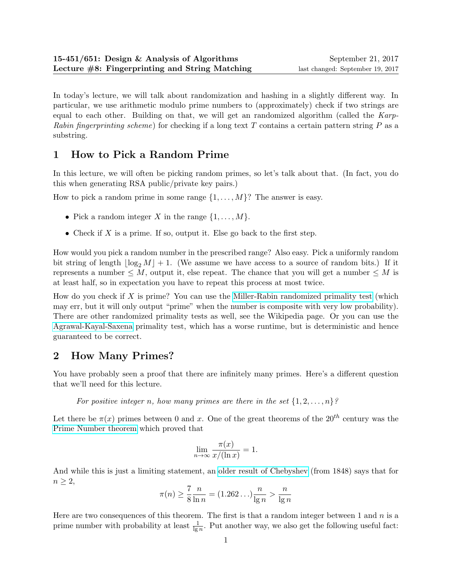In today's lecture, we will talk about randomization and hashing in a slightly different way. In particular, we use arithmetic modulo prime numbers to (approximately) check if two strings are equal to each other. Building on that, we will get an randomized algorithm (called the Karp-Rabin fingerprinting scheme) for checking if a long text T contains a certain pattern string  $P$  as a substring.

# 1 How to Pick a Random Prime

In this lecture, we will often be picking random primes, so let's talk about that. (In fact, you do this when generating RSA public/private key pairs.)

How to pick a random prime in some range  $\{1, \ldots, M\}$ ? The answer is easy.

- Pick a random integer X in the range  $\{1, \ldots, M\}$ .
- Check if X is a prime. If so, output it. Else go back to the first step.

How would you pick a random number in the prescribed range? Also easy. Pick a uniformly random bit string of length  $|\log_2 M| + 1$ . (We assume we have access to a source of random bits.) If it represents a number  $\leq M$ , output it, else repeat. The chance that you will get a number  $\leq M$  is at least half, so in expectation you have to repeat this process at most twice.

How do you check if  $X$  is prime? You can use the [Miller-Rabin randomized primality test](http://en.wikipedia.org/wiki/Miller-Rabin_primality_test) (which may err, but it will only output "prime" when the number is composite with very low probability). There are other randomized primality tests as well, see the Wikipedia page. Or you can use the [Agrawal-Kayal-Saxena](http://en.wikipedia.org/wiki/AKS_primality_test) primality test, which has a worse runtime, but is deterministic and hence guaranteed to be correct.

## 2 How Many Primes?

You have probably seen a proof that there are infinitely many primes. Here's a different question that we'll need for this lecture.

For positive integer n, how many primes are there in the set  $\{1, 2, \ldots, n\}$ ?

Let there be  $\pi(x)$  primes between 0 and x. One of the great theorems of the  $20^{th}$  century was the [Prime Number theorem](http://en.wikipedia.org/wiki/Prime_number_theorem) which proved that

$$
\lim_{n \to \infty} \frac{\pi(x)}{x/(\ln x)} = 1.
$$

And while this is just a limiting statement, an [older result of Chebyshev](http://mathworld.wolfram.com/PrimeNumberTheorem.html) (from 1848) says that for  $n \geq 2$ ,

$$
\pi(n) \ge \frac{7}{8} \frac{n}{\ln n} = (1.262 \dots) \frac{n}{\lg n} > \frac{n}{\lg n}
$$

<span id="page-0-0"></span>Here are two consequences of this theorem. The first is that a random integer between 1 and  $n$  is a prime number with probability at least  $\frac{1}{\lg n}$ . Put another way, we also get the following useful fact: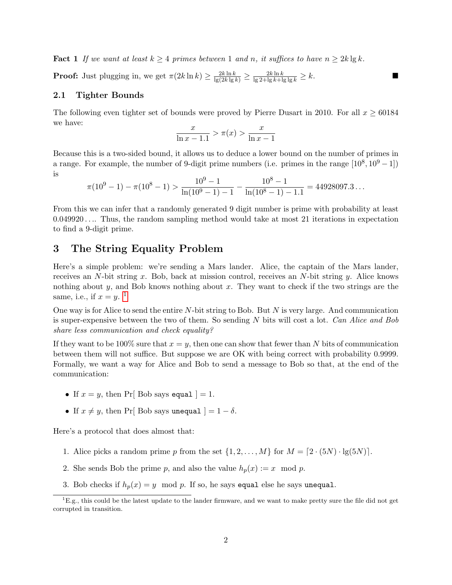**Fact 1** If we want at least  $k \geq 4$  primes between 1 and n, it suffices to have  $n \geq 2k \lg k$ .

**Proof:** Just plugging in, we get  $\pi(2k \ln k) \ge \frac{2k \ln k}{\lg(2k \lg k)} \ge \frac{2k \ln k}{\lg 2 + \lg k + \lg \lg k} \ge k$ .

### 2.1 Tighter Bounds

The following even tighter set of bounds were proved by Pierre Dusart in 2010. For all  $x \ge 60184$ we have:

$$
\frac{x}{\ln x - 1.1} > \pi(x) > \frac{x}{\ln x - 1}
$$

Because this is a two-sided bound, it allows us to deduce a lower bound on the number of primes in a range. For example, the number of 9-digit prime numbers (i.e. primes in the range  $[10^8, 10^9 - 1]$ ) is

$$
\pi(10^9 - 1) - \pi(10^8 - 1) > \frac{10^9 - 1}{\ln(10^9 - 1) - 1} - \frac{10^8 - 1}{\ln(10^8 - 1) - 1.1} = 44928097.3...
$$

From this we can infer that a randomly generated 9 digit number is prime with probability at least 0.049920 . . .. Thus, the random sampling method would take at most 21 iterations in expectation to find a 9-digit prime.

## 3 The String Equality Problem

Here's a simple problem: we're sending a Mars lander. Alice, the captain of the Mars lander, receives an N-bit string x. Bob, back at mission control, receives an N-bit string y. Alice knows nothing about y, and Bob knows nothing about x. They want to check if the two strings are the same, i.e., if  $x = y$ . <sup>[1](#page-1-0)</sup>

One way is for Alice to send the entire  $N$ -bit string to Bob. But  $N$  is very large. And communication is super-expensive between the two of them. So sending  $N$  bits will cost a lot. Can Alice and Bob share less communication and check equality?

If they want to be 100% sure that  $x = y$ , then one can show that fewer than N bits of communication between them will not suffice. But suppose we are OK with being correct with probability 0.9999. Formally, we want a way for Alice and Bob to send a message to Bob so that, at the end of the communication:

- If  $x = y$ , then Pr[ Bob says equal ] = 1.
- If  $x \neq y$ , then Pr[ Bob says unequal  $] = 1 \delta$ .

Here's a protocol that does almost that:

- 1. Alice picks a random prime p from the set  $\{1, 2, ..., M\}$  for  $M = [2 \cdot (5N) \cdot \lg(5N)]$ .
- 2. She sends Bob the prime p, and also the value  $h_p(x) := x \mod p$ .
- 3. Bob checks if  $h_p(x) = y \mod p$ . If so, he says equal else he says unequal.

<span id="page-1-0"></span> ${}^{1}E.g.,$  this could be the latest update to the lander firmware, and we want to make pretty sure the file did not get corrupted in transition.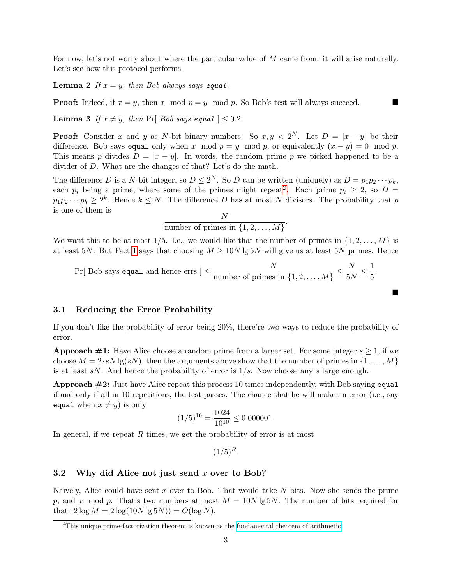For now, let's not worry about where the particular value of M came from: it will arise naturally. Let's see how this protocol performs.

**Lemma 2** If  $x = y$ , then Bob always says equal.

**Proof:** Indeed, if  $x = y$ , then x mod  $p = y$  mod p. So Bob's test will always succeed.

**Lemma 3** If  $x \neq y$ , then Pr[ Bob says equal ]  $\leq 0.2$ .

**Proof:** Consider x and y as N-bit binary numbers. So  $x, y < 2^N$ . Let  $D = |x - y|$  be their difference. Bob says equal only when x mod  $p = y \mod p$ , or equivalently  $(x - y) = 0 \mod p$ . This means p divides  $D = |x - y|$ . In words, the random prime p we picked happened to be a divider of D. What are the changes of that? Let's do the math.

The difference D is a N-bit integer, so  $D \leq 2^N$ . So D can be written (uniquely) as  $D = p_1 p_2 \cdots p_k$ , each  $p_i$  being a prime, where some of the primes might repeat<sup>[2](#page-2-0)</sup>. Each prime  $p_i \geq 2$ , so  $D =$  $p_1p_2\cdots p_k\geq 2^k$ . Hence  $k\leq N$ . The difference D has at most N divisors. The probability that p is one of them is  $\lambda$ 

number of primes in 
$$
\{1, 2, ..., M\}
$$
.

We want this to be at most 1/5. I.e., we would like that the number of primes in  $\{1, 2, \ldots, M\}$  is at least 5N. But Fact [1](#page-0-0) says that choosing  $M \geq 10N \lg 5N$  will give us at least 5N primes. Hence

$$
Pr[ Bob says equal and hence errors ] \leq \frac{N}{\text{number of primes in } \{1, 2, ..., M\}} \leq \frac{N}{5N} \leq \frac{1}{5}.
$$

П

### 3.1 Reducing the Error Probability

If you don't like the probability of error being 20%, there're two ways to reduce the probability of error.

**Approach #1:** Have Alice choose a random prime from a larger set. For some integer  $s \geq 1$ , if we choose  $M = 2 \cdot sN \lg(sN)$ , then the arguments above show that the number of primes in  $\{1, \ldots, M\}$ is at least  $sN$ . And hence the probability of error is  $1/s$ . Now choose any s large enough.

**Approach**  $\#2$ **:** Just have Alice repeat this process 10 times independently, with Bob saying equal if and only if all in 10 repetitions, the test passes. The chance that he will make an error (i.e., say equal when  $x \neq y$ ) is only

$$
(1/5)^{10} = \frac{1024}{10^{10}} \le 0.000001.
$$

In general, if we repeat  $R$  times, we get the probability of error is at most

 $(1/5)^R$ .

### 3.2 Why did Alice not just send  $x$  over to Bob?

Naïvely, Alice could have sent x over to Bob. That would take  $N$  bits. Now she sends the prime p, and x mod p. That's two numbers at most  $M = 10N \lg 5N$ . The number of bits required for that:  $2 \log M = 2 \log(10N \lg 5N)) = O(\log N)$ .

<span id="page-2-0"></span><sup>2</sup>This unique prime-factorization theorem is known as the [fundamental theorem of arithmetic.](https://en.wikipedia.org/wiki/Fundamental_theorem_of_arithmetic)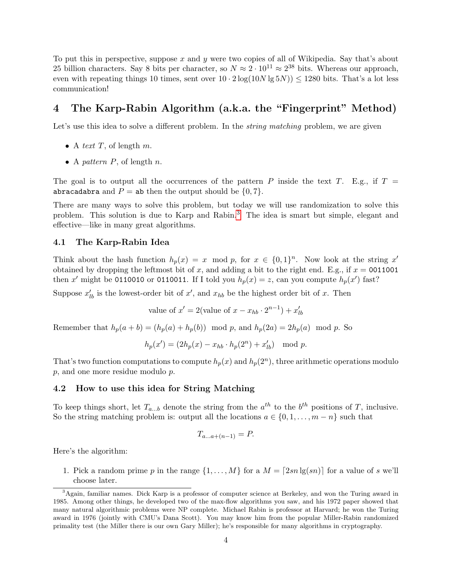To put this in perspective, suppose  $x$  and  $y$  were two copies of all of Wikipedia. Say that's about 25 billion characters. Say 8 bits per character, so  $N \approx 2 \cdot 10^{11} \approx 2^{38}$  bits. Whereas our approach, even with repeating things 10 times, sent over  $10 \cdot 2 \log(10N \lg 5N)) \le 1280$  bits. That's a lot less communication!

## 4 The Karp-Rabin Algorithm (a.k.a. the "Fingerprint" Method)

Let's use this idea to solve a different problem. In the *string matching* problem, we are given

- A text  $T$ , of length  $m$ .
- A pattern  $P$ , of length  $n$ .

The goal is to output all the occurrences of the pattern P inside the text T. E.g., if  $T =$ abracadabra and  $P =$  ab then the output should be  $\{0, 7\}$ .

There are many ways to solve this problem, but today we will use randomization to solve this problem. This solution is due to Karp and Rabin.<sup>[3](#page-3-0)</sup> The idea is smart but simple, elegant and effective—like in many great algorithms.

#### <span id="page-3-1"></span>4.1 The Karp-Rabin Idea

Think about the hash function  $h_p(x) = x \mod p$ , for  $x \in \{0,1\}^n$ . Now look at the string x' obtained by dropping the leftmost bit of x, and adding a bit to the right end. E.g., if  $x = 0011001$ then x' might be 0110010 or 0110011. If I told you  $h_p(x) = z$ , can you compute  $h_p(x')$  fast?

Suppose  $x'_{lb}$  is the lowest-order bit of  $x'$ , and  $x_{hb}$  be the highest order bit of x. Then

value of  $x' = 2$ (value of  $x - x_{hb} \cdot 2^{n-1}$ ) +  $x'_{lb}$ 

Remember that  $h_p(a + b) = (h_p(a) + h_p(b)) \mod p$ , and  $h_p(2a) = 2h_p(a) \mod p$ . So

$$
h_p(x') = (2h_p(x) - x_{hb} \cdot h_p(2^n) + x'_{lb}) \mod p.
$$

That's two function computations to compute  $h_p(x)$  and  $h_p(2^n)$ , three arithmetic operations modulo p, and one more residue modulo p.

#### 4.2 How to use this idea for String Matching

To keep things short, let  $T_{a...b}$  denote the string from the  $a^{th}$  to the  $b^{th}$  positions of T, inclusive. So the string matching problem is: output all the locations  $a \in \{0, 1, \ldots, m - n\}$  such that

$$
T_{a...a+(n-1)} = P
$$

Here's the algorithm:

1. Pick a random prime p in the range  $\{1, \ldots, M\}$  for a  $M = \lceil 2sn \lg(sn) \rceil$  for a value of s we'll choose later.

<span id="page-3-0"></span><sup>3</sup>Again, familiar names. Dick Karp is a professor of computer science at Berkeley, and won the Turing award in 1985. Among other things, he developed two of the max-flow algorithms you saw, and his 1972 paper showed that many natural algorithmic problems were NP complete. Michael Rabin is professor at Harvard; he won the Turing award in 1976 (jointly with CMU's Dana Scott). You may know him from the popular Miller-Rabin randomized primality test (the Miller there is our own Gary Miller); he's responsible for many algorithms in cryptography.